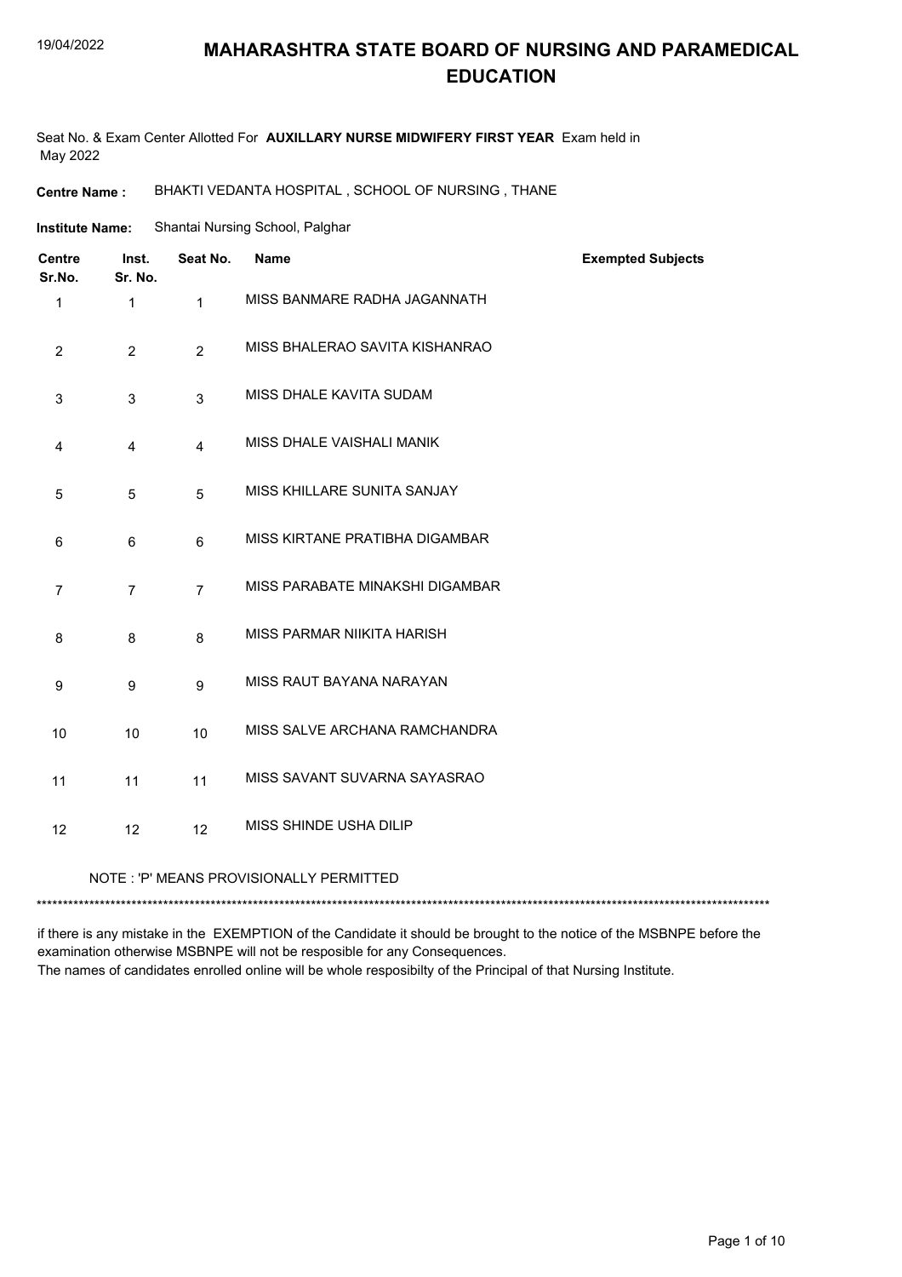# **MAHARASHTRA STATE BOARD OF NURSING AND PARAMEDICAL EDUCATION**

Seat No. & Exam Center Allotted For **AUXILLARY NURSE MIDWIFERY FIRST YEAR** Exam held in May 2022

**Centre Name :** BHAKTI VEDANTA HOSPITAL , SCHOOL OF NURSING , THANE

| <b>Institute Name:</b> | Shantai Nursing School, Palghar |
|------------------------|---------------------------------|
|                        |                                 |

| <b>Centre</b><br>Sr.No. | Inst.<br>Sr. No.                        | Seat No.       | <b>Name</b>                     | <b>Exempted Subjects</b> |  |
|-------------------------|-----------------------------------------|----------------|---------------------------------|--------------------------|--|
| 1                       | $\mathbf{1}$                            | $\mathbf{1}$   | MISS BANMARE RADHA JAGANNATH    |                          |  |
| 2                       | $\overline{2}$                          | $\overline{2}$ | MISS BHALERAO SAVITA KISHANRAO  |                          |  |
| 3                       | 3                                       | $\mathbf{3}$   | MISS DHALE KAVITA SUDAM         |                          |  |
| 4                       | $\overline{4}$                          | $\overline{4}$ | MISS DHALE VAISHALI MANIK       |                          |  |
| $\sqrt{5}$              | 5                                       | 5              | MISS KHILLARE SUNITA SANJAY     |                          |  |
| 6                       | 6                                       | 6              | MISS KIRTANE PRATIBHA DIGAMBAR  |                          |  |
| $\overline{7}$          | $\overline{7}$                          | $\overline{7}$ | MISS PARABATE MINAKSHI DIGAMBAR |                          |  |
| 8                       | 8                                       | 8              | MISS PARMAR NIIKITA HARISH      |                          |  |
| 9                       | 9                                       | 9              | MISS RAUT BAYANA NARAYAN        |                          |  |
| 10                      | 10                                      | 10             | MISS SALVE ARCHANA RAMCHANDRA   |                          |  |
| 11                      | 11                                      | 11             | MISS SAVANT SUVARNA SAYASRAO    |                          |  |
| 12                      | 12                                      | 12             | MISS SHINDE USHA DILIP          |                          |  |
|                         | NOTE: 'P' MEANS PROVISIONALLY PERMITTED |                |                                 |                          |  |

\*\*\*\*\*\*\*\*\*\*\*\*\*\*\*\*\*\*\*\*\*\*\*\*\*\*\*\*\*\*\*\*\*\*\*\*\*\*\*\*\*\*\*\*\*\*\*\*\*\*\*\*\*\*\*\*\*\*\*\*\*\*\*\*\*\*\*\*\*\*\*\*\*\*\*\*\*\*\*\*\*\*\*\*\*\*\*\*\*\*\*\*\*\*\*\*\*\*\*\*\*\*\*\*\*\*\*\*\*\*\*\*\*\*\*\*\*\*\*\*\*\*\*\*\*\*\*\*\*\*\*\*\*\*\*\*\*\*\*

if there is any mistake in the EXEMPTION of the Candidate it should be brought to the notice of the MSBNPE before the examination otherwise MSBNPE will not be resposible for any Consequences. The names of candidates enrolled online will be whole resposibilty of the Principal of that Nursing Institute.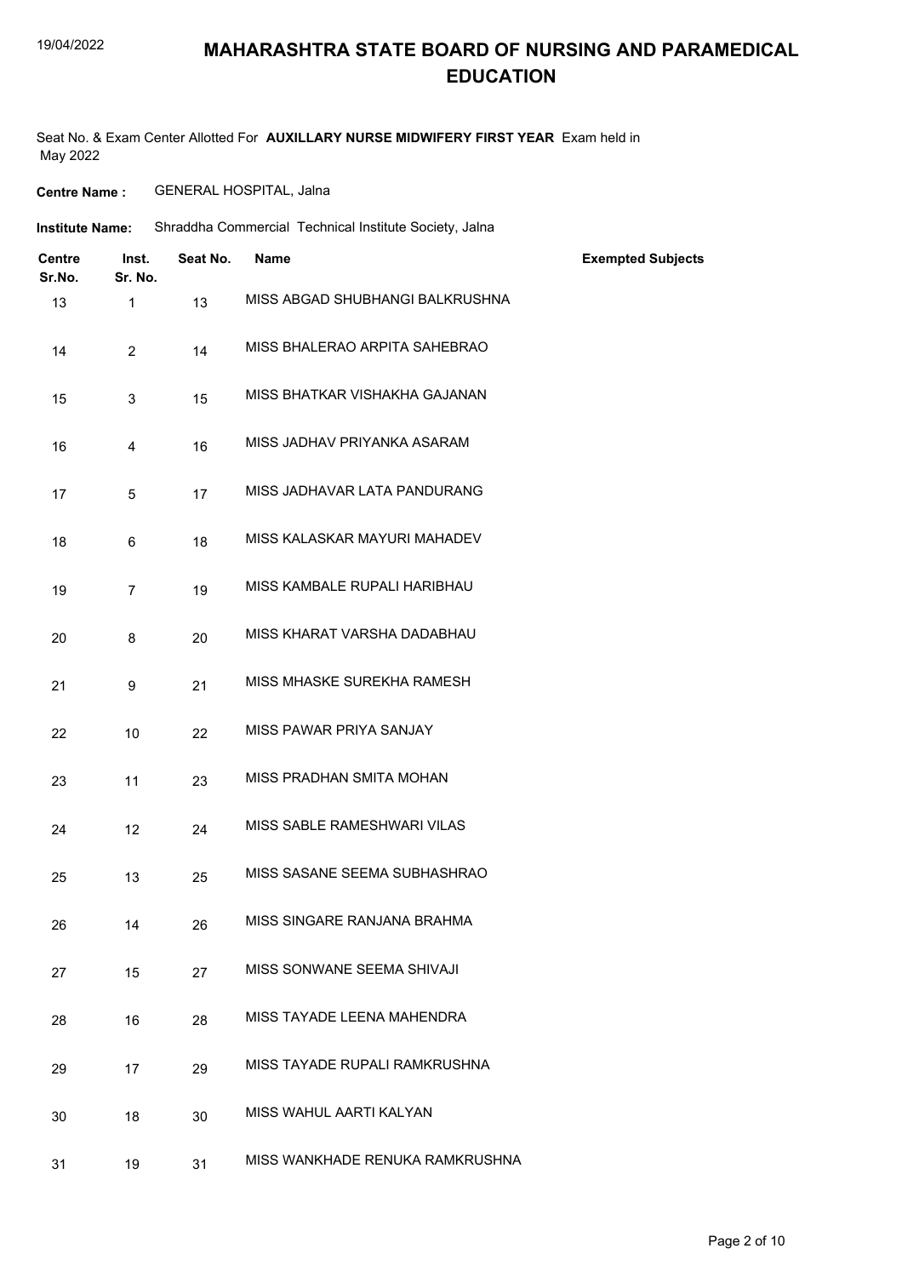### **MAHARASHTRA STATE BOARD OF NURSING AND PARAMEDICAL EDUCATION**

Seat No. & Exam Center Allotted For **AUXILLARY NURSE MIDWIFERY FIRST YEAR** Exam held in May 2022

**Centre Name :** GENERAL HOSPITAL, Jalna

| <b>Institute Name:</b>  |                  | Shraddha Commercial Technical Institute Society, Jalna |                                 |                          |
|-------------------------|------------------|--------------------------------------------------------|---------------------------------|--------------------------|
| <b>Centre</b><br>Sr.No. | Inst.<br>Sr. No. | Seat No.                                               | Name                            | <b>Exempted Subjects</b> |
| 13                      | $\mathbf{1}$     | 13                                                     | MISS ABGAD SHUBHANGI BALKRUSHNA |                          |
| 14                      | $\overline{2}$   | 14                                                     | MISS BHALERAO ARPITA SAHEBRAO   |                          |
| 15                      | 3                | 15                                                     | MISS BHATKAR VISHAKHA GAJANAN   |                          |
| 16                      | 4                | 16                                                     | MISS JADHAV PRIYANKA ASARAM     |                          |
| 17                      | 5                | 17                                                     | MISS JADHAVAR LATA PANDURANG    |                          |
| 18                      | 6                | 18                                                     | MISS KALASKAR MAYURI MAHADEV    |                          |
| 19                      | $\overline{7}$   | 19                                                     | MISS KAMBALE RUPALI HARIBHAU    |                          |
| 20                      | 8                | 20                                                     | MISS KHARAT VARSHA DADABHAU     |                          |
| 21                      | 9                | 21                                                     | MISS MHASKE SUREKHA RAMESH      |                          |
| 22                      | 10               | 22                                                     | MISS PAWAR PRIYA SANJAY         |                          |
| 23                      | 11               | 23                                                     | MISS PRADHAN SMITA MOHAN        |                          |
| 24                      | 12               | 24                                                     | MISS SABLE RAMESHWARI VILAS     |                          |
| 25                      | 13               | 25                                                     | MISS SASANE SEEMA SUBHASHRAO    |                          |
| 26                      | 14               | 26                                                     | MISS SINGARE RANJANA BRAHMA     |                          |
| 27                      | 15               | 27                                                     | MISS SONWANE SEEMA SHIVAJI      |                          |
| 28                      | 16               | 28                                                     | MISS TAYADE LEENA MAHENDRA      |                          |
| 29                      | 17               | 29                                                     | MISS TAYADE RUPALI RAMKRUSHNA   |                          |
| 30                      | 18               | 30                                                     | MISS WAHUL AARTI KALYAN         |                          |
| 31                      | 19               | 31                                                     | MISS WANKHADE RENUKA RAMKRUSHNA |                          |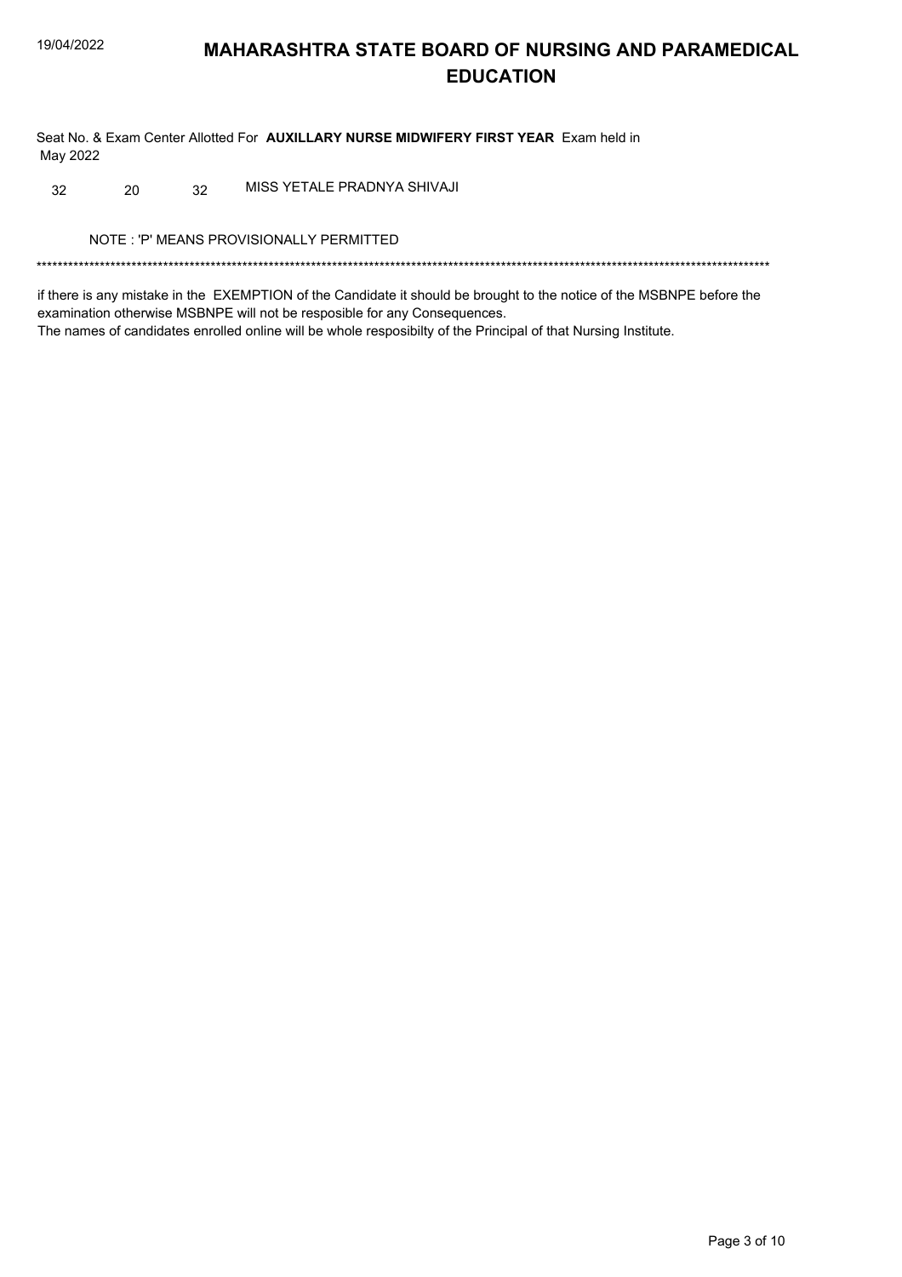## **MAHARASHTRA STATE BOARD OF NURSING AND PARAMEDICAL EDUCATION**

Seat No. & Exam Center Allotted For AUXILLARY NURSE MIDWIFERY FIRST YEAR Exam held in May 2022

MISS YETALE PRADNYA SHIVAJI 32 20  $32$ 

NOTE: 'P' MEANS PROVISIONALLY PERMITTED

if there is any mistake in the EXEMPTION of the Candidate it should be brought to the notice of the MSBNPE before the examination otherwise MSBNPE will not be resposible for any Consequences. The names of candidates enrolled online will be whole resposibilty of the Principal of that Nursing Institute.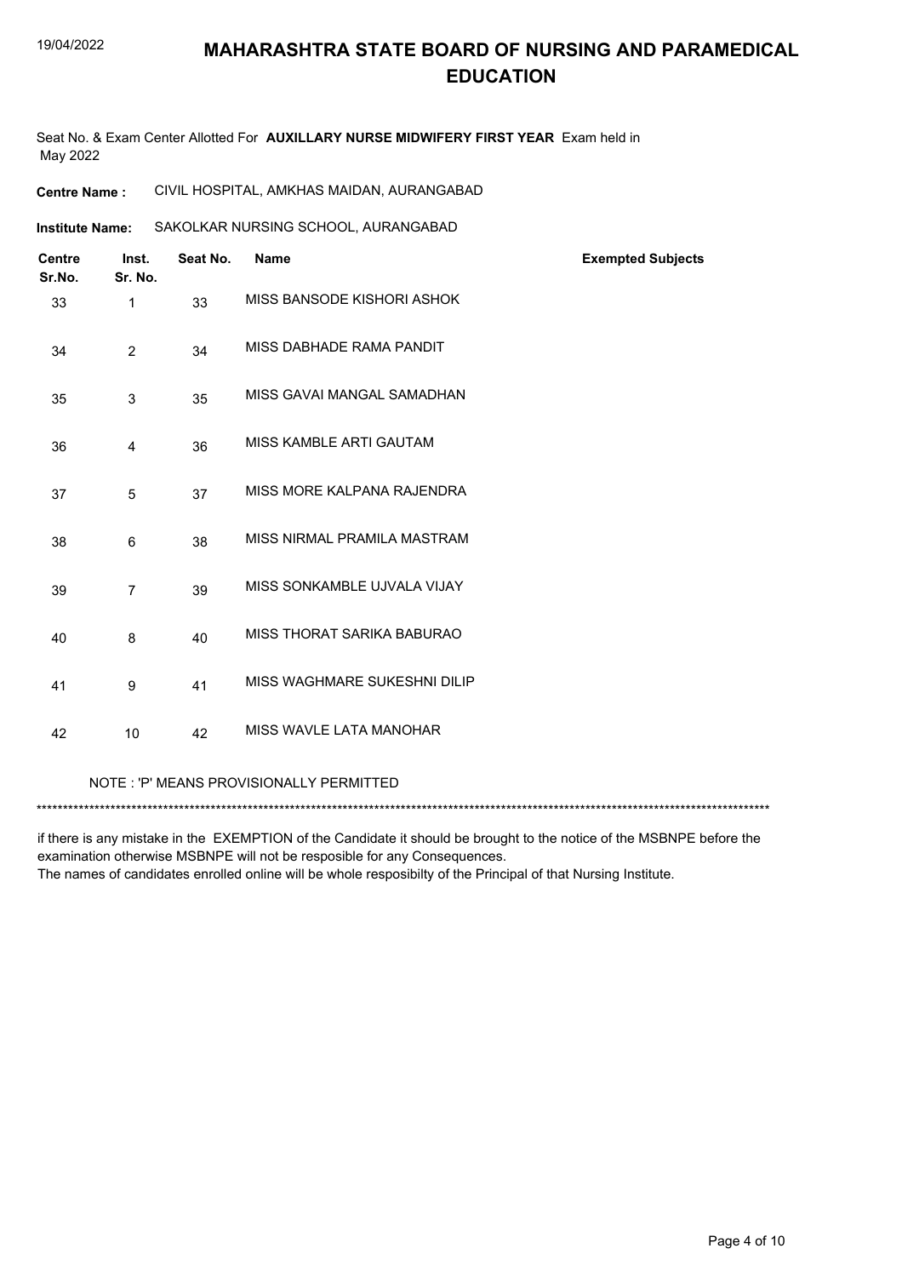## **MAHARASHTRA STATE BOARD OF NURSING AND PARAMEDICAL EDUCATION**

Seat No. & Exam Center Allotted For **AUXILLARY NURSE MIDWIFERY FIRST YEAR** Exam held in May 2022

**Institute Name: SAKOLKAR NURSING SCHOOL, AURANGABAD** 

| <b>Centre</b><br>Sr.No. | Inst.<br>Sr. No. | Seat No. | <b>Name</b>                  | <b>Exempted Subjects</b> |
|-------------------------|------------------|----------|------------------------------|--------------------------|
| 33                      | 1                | 33       | MISS BANSODE KISHORI ASHOK   |                          |
| 34                      | $\overline{2}$   | 34       | MISS DABHADE RAMA PANDIT     |                          |
| 35                      | 3                | 35       | MISS GAVAI MANGAL SAMADHAN   |                          |
| 36                      | 4                | 36       | MISS KAMBLE ARTI GAUTAM      |                          |
| 37                      | 5                | 37       | MISS MORE KALPANA RAJENDRA   |                          |
| 38                      | 6                | 38       | MISS NIRMAL PRAMILA MASTRAM  |                          |
| 39                      | $\overline{7}$   | 39       | MISS SONKAMBLE UJVALA VIJAY  |                          |
| 40                      | 8                | 40       | MISS THORAT SARIKA BABURAO   |                          |
| 41                      | 9                | 41       | MISS WAGHMARE SUKESHNI DILIP |                          |
| 42                      | 10               | 42       | MISS WAVLE LATA MANOHAR      |                          |
|                         |                  |          |                              |                          |

NOTE : 'P' MEANS PROVISIONALLY PERMITTED

\*\*\*\*\*\*\*\*\*\*\*\*\*\*\*\*\*\*\*\*\*\*\*\*\*\*\*\*\*\*\*\*\*\*\*\*\*\*\*\*\*\*\*\*\*\*\*\*\*\*\*\*\*\*\*\*\*\*\*\*\*\*\*\*\*\*\*\*\*\*\*\*\*\*\*\*\*\*\*\*\*\*\*\*\*\*\*\*\*\*\*\*\*\*\*\*\*\*\*\*\*\*\*\*\*\*\*\*\*\*\*\*\*\*\*\*\*\*\*\*\*\*\*\*\*\*\*\*\*\*\*\*\*\*\*\*\*\*\*

if there is any mistake in the EXEMPTION of the Candidate it should be brought to the notice of the MSBNPE before the examination otherwise MSBNPE will not be resposible for any Consequences.

The names of candidates enrolled online will be whole resposibilty of the Principal of that Nursing Institute.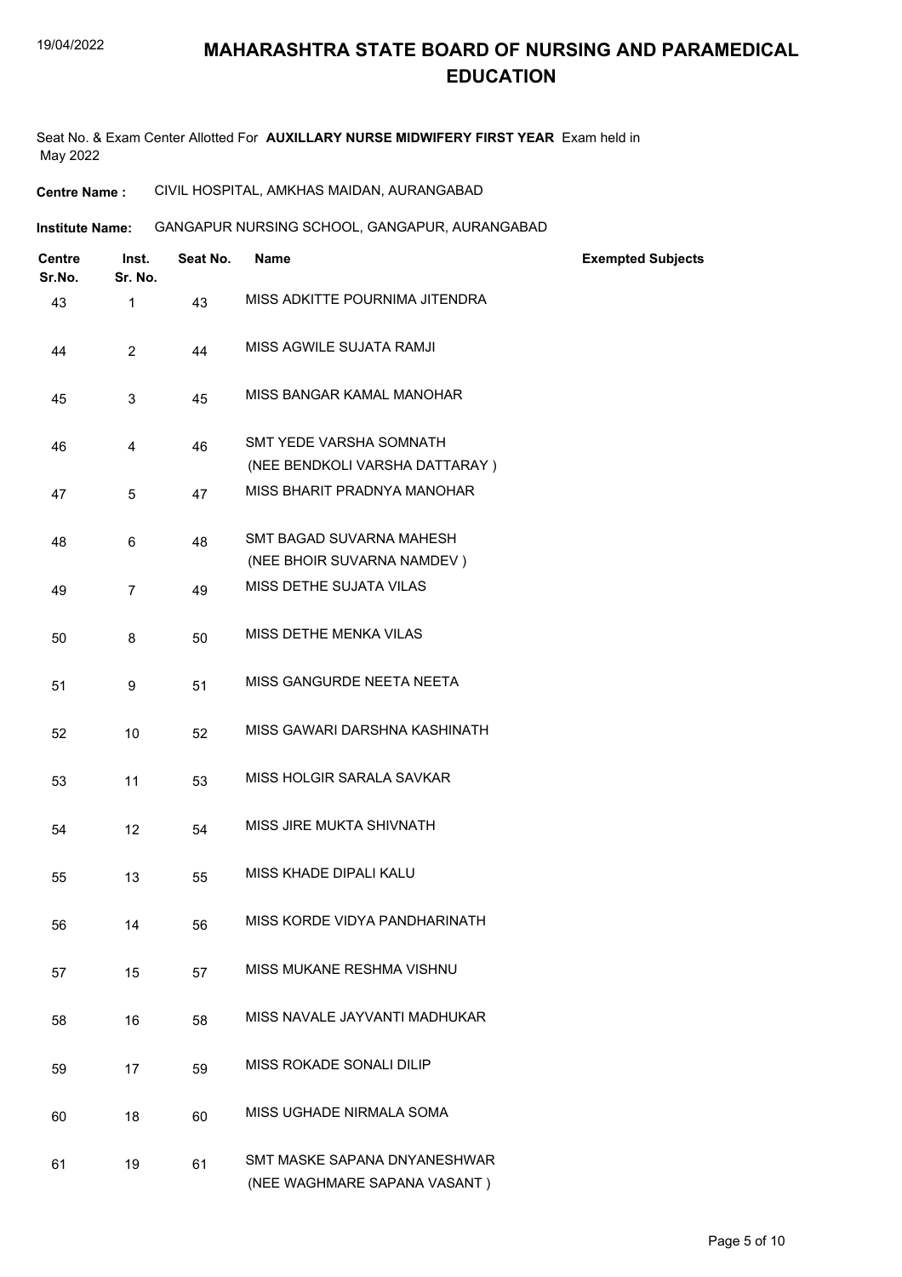## **MAHARASHTRA STATE BOARD OF NURSING AND PARAMEDICAL EDUCATION**

Seat No. & Exam Center Allotted For **AUXILLARY NURSE MIDWIFERY FIRST YEAR** Exam held in May 2022

**Centre Name :** CIVIL HOSPITAL, AMKHAS MAIDAN, AURANGABAD

**Institute Name: GANGAPUR NURSING SCHOOL, GANGAPUR, AURANGABAD** 

| <b>Centre</b><br>Sr.No. | Inst.<br>Sr. No. | Seat No. | <b>Name</b>                                                  | <b>Exempted Subjects</b> |
|-------------------------|------------------|----------|--------------------------------------------------------------|--------------------------|
| 43                      | 1                | 43       | MISS ADKITTE POURNIMA JITENDRA                               |                          |
| 44                      | $\overline{2}$   | 44       | MISS AGWILE SUJATA RAMJI                                     |                          |
| 45                      | 3                | 45       | MISS BANGAR KAMAL MANOHAR                                    |                          |
| 46                      | 4                | 46       | SMT YEDE VARSHA SOMNATH<br>(NEE BENDKOLI VARSHA DATTARAY)    |                          |
| 47                      | 5                | 47       | MISS BHARIT PRADNYA MANOHAR                                  |                          |
| 48                      | 6                | 48       | SMT BAGAD SUVARNA MAHESH<br>(NEE BHOIR SUVARNA NAMDEV)       |                          |
| 49                      | $\overline{7}$   | 49       | MISS DETHE SUJATA VILAS                                      |                          |
| 50                      | 8                | 50       | MISS DETHE MENKA VILAS                                       |                          |
| 51                      | 9                | 51       | MISS GANGURDE NEETA NEETA                                    |                          |
| 52                      | 10               | 52       | MISS GAWARI DARSHNA KASHINATH                                |                          |
| 53                      | 11               | 53       | MISS HOLGIR SARALA SAVKAR                                    |                          |
| 54                      | 12               | 54       | MISS JIRE MUKTA SHIVNATH                                     |                          |
| 55                      | 13               | 55       | MISS KHADE DIPALI KALU                                       |                          |
| 56                      | 14               | 56       | MISS KORDE VIDYA PANDHARINATH                                |                          |
| 57                      | 15               | 57       | MISS MUKANE RESHMA VISHNU                                    |                          |
| 58                      | 16               | 58       | MISS NAVALE JAYVANTI MADHUKAR                                |                          |
| 59                      | 17               | 59       | MISS ROKADE SONALI DILIP                                     |                          |
| 60                      | 18               | 60       | MISS UGHADE NIRMALA SOMA                                     |                          |
| 61                      | 19               | 61       | SMT MASKE SAPANA DNYANESHWAR<br>(NEE WAGHMARE SAPANA VASANT) |                          |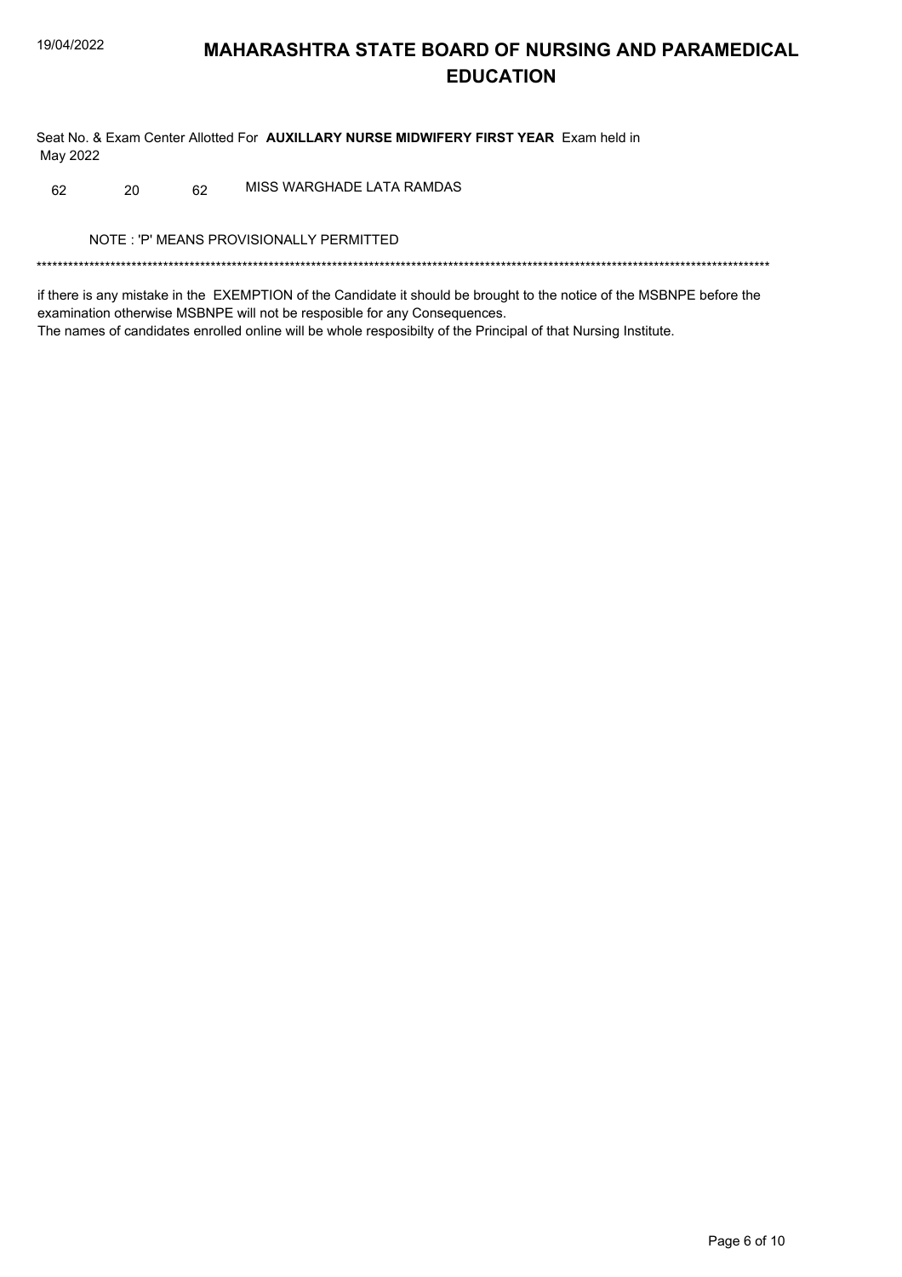## **MAHARASHTRA STATE BOARD OF NURSING AND PARAMEDICAL EDUCATION**

Seat No. & Exam Center Allotted For AUXILLARY NURSE MIDWIFERY FIRST YEAR Exam held in May 2022

MISS WARGHADE LATA RAMDAS 62 20 62

NOTE: 'P' MEANS PROVISIONALLY PERMITTED

if there is any mistake in the EXEMPTION of the Candidate it should be brought to the notice of the MSBNPE before the examination otherwise MSBNPE will not be resposible for any Consequences. The names of candidates enrolled online will be whole resposibilty of the Principal of that Nursing Institute.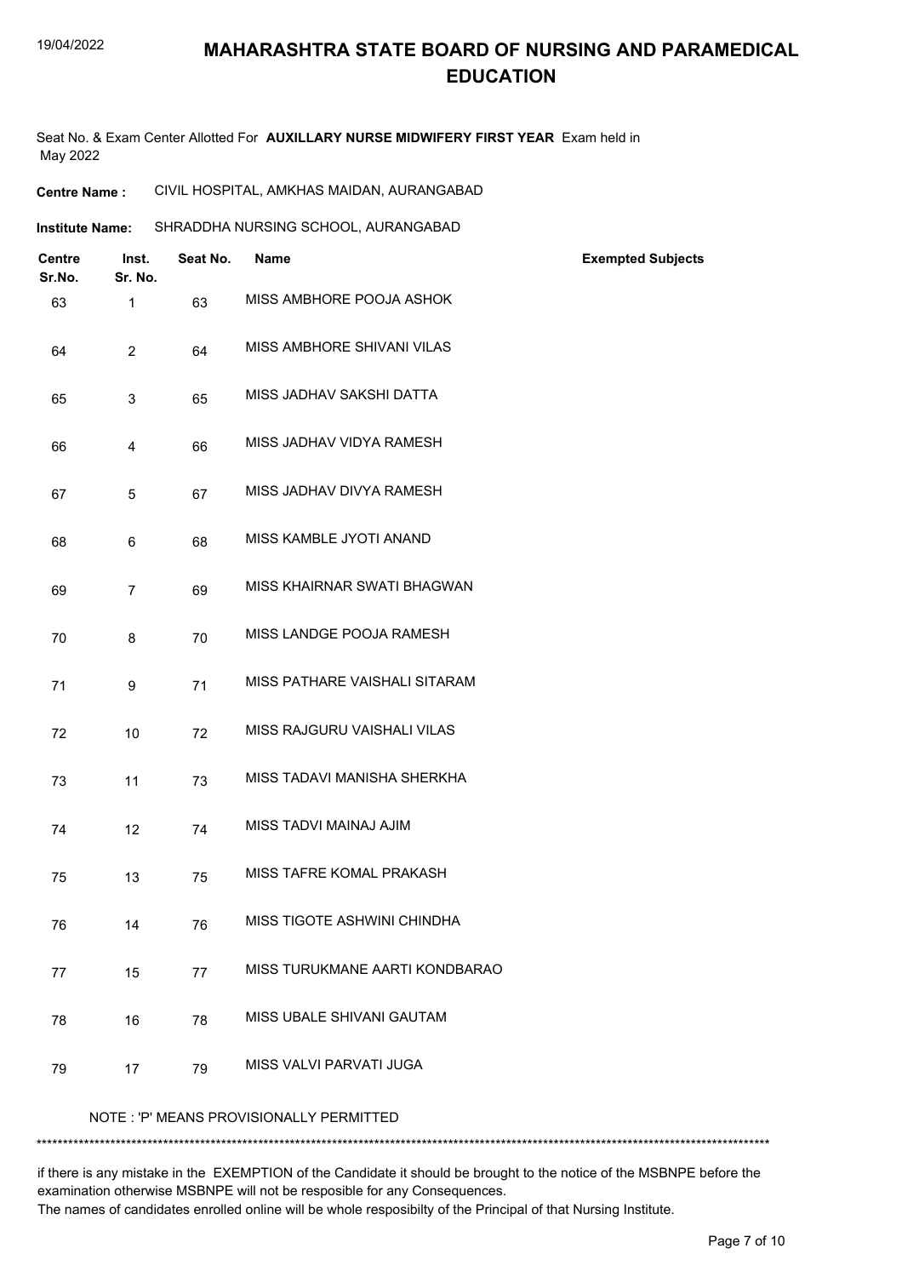## **MAHARASHTRA STATE BOARD OF NURSING AND PARAMEDICAL EDUCATION**

Seat No. & Exam Center Allotted For **AUXILLARY NURSE MIDWIFERY FIRST YEAR** Exam held in May 2022

| <b>Institute Name:</b> | SHRADDHA NURSING SCHOOL, AURANGABAD |  |
|------------------------|-------------------------------------|--|
|                        |                                     |  |

| <b>Centre</b><br>Sr.No. | Inst.<br>Sr. No. | Seat No. | Name                                    | <b>Exempted Subjects</b> |
|-------------------------|------------------|----------|-----------------------------------------|--------------------------|
| 63                      | $\mathbf{1}$     | 63       | MISS AMBHORE POOJA ASHOK                |                          |
| 64                      | $\overline{2}$   | 64       | MISS AMBHORE SHIVANI VILAS              |                          |
| 65                      | $\mathbf{3}$     | 65       | MISS JADHAV SAKSHI DATTA                |                          |
| 66                      | 4                | 66       | MISS JADHAV VIDYA RAMESH                |                          |
| 67                      | 5                | 67       | MISS JADHAV DIVYA RAMESH                |                          |
| 68                      | 6                | 68       | MISS KAMBLE JYOTI ANAND                 |                          |
| 69                      | $\overline{7}$   | 69       | MISS KHAIRNAR SWATI BHAGWAN             |                          |
| 70                      | 8                | 70       | MISS LANDGE POOJA RAMESH                |                          |
| 71                      | 9                | 71       | MISS PATHARE VAISHALI SITARAM           |                          |
| 72                      | 10               | 72       | MISS RAJGURU VAISHALI VILAS             |                          |
| 73                      | 11               | 73       | MISS TADAVI MANISHA SHERKHA             |                          |
| 74                      | 12               | 74       | MISS TADVI MAINAJ AJIM                  |                          |
| 75                      | 13               | 75       | MISS TAFRE KOMAL PRAKASH                |                          |
| 76                      | 14               | 76       | MISS TIGOTE ASHWINI CHINDHA             |                          |
| 77                      | 15               | 77       | MISS TURUKMANE AARTI KONDBARAO          |                          |
| 78                      | 16               | 78       | MISS UBALE SHIVANI GAUTAM               |                          |
| 79                      | 17               | 79       | MISS VALVI PARVATI JUGA                 |                          |
|                         |                  |          | NOTE: 'P' MEANS PROVISIONALLY PERMITTED |                          |
|                         |                  |          |                                         |                          |

if there is any mistake in the EXEMPTION of the Candidate it should be brought to the notice of the MSBNPE before the examination otherwise MSBNPE will not be resposible for any Consequences.

The names of candidates enrolled online will be whole resposibilty of the Principal of that Nursing Institute.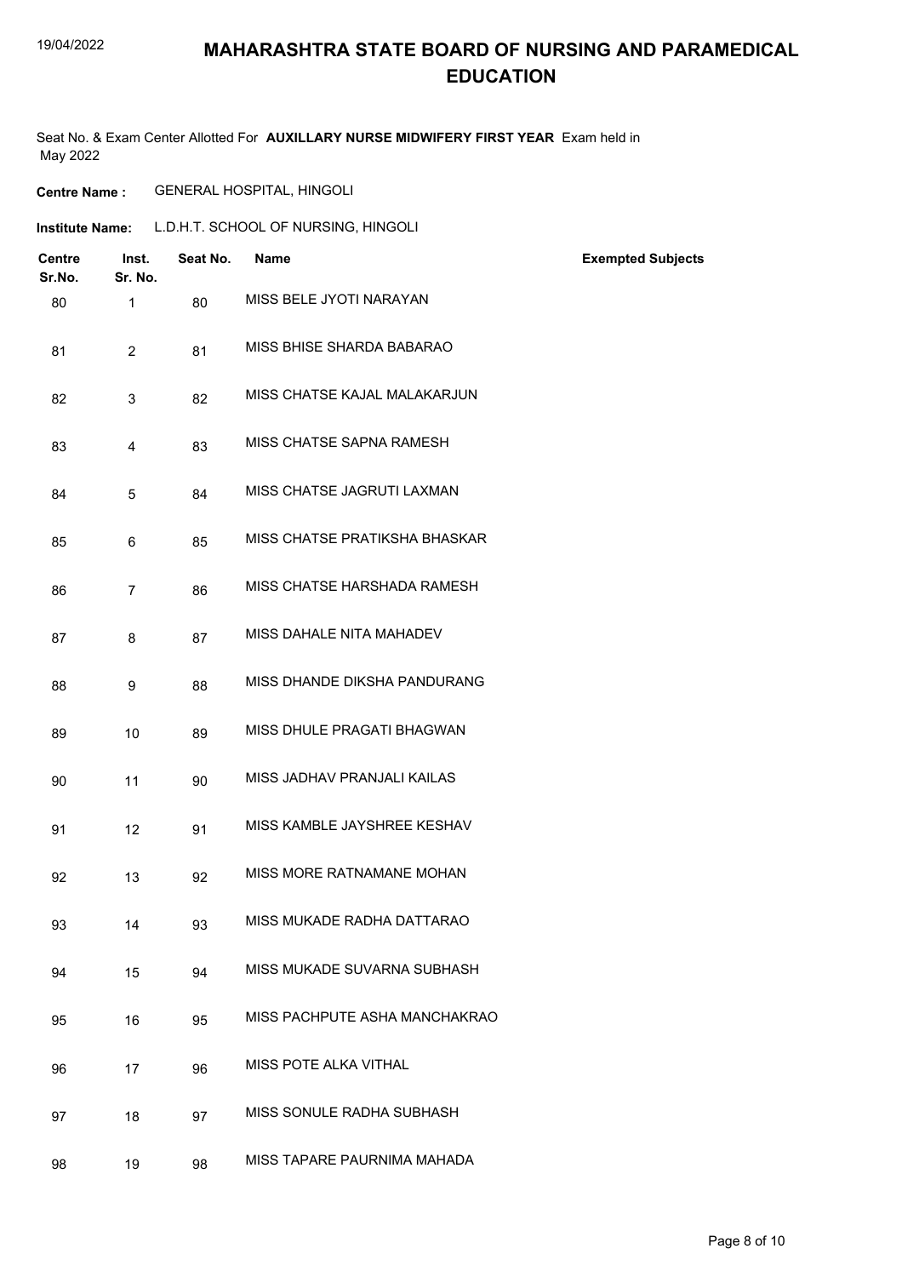### **MAHARASHTRA STATE BOARD OF NURSING AND PARAMEDICAL EDUCATION**

Seat No. & Exam Center Allotted For **AUXILLARY NURSE MIDWIFERY FIRST YEAR** Exam held in May 2022

### **Centre Name :** GENERAL HOSPITAL, HINGOLI

| <b>Institute Name:</b> | L.D.H.T. SCHOOL OF NURSING, HINGOLI |
|------------------------|-------------------------------------|
|                        |                                     |

| <b>Centre</b><br>Sr.No. | Inst.<br>Sr. No. | Seat No. | <b>Name</b>                   | <b>Exempted Subjects</b> |
|-------------------------|------------------|----------|-------------------------------|--------------------------|
| 80                      | $\mathbf{1}$     | 80       | MISS BELE JYOTI NARAYAN       |                          |
| 81                      | $\overline{2}$   | 81       | MISS BHISE SHARDA BABARAO     |                          |
| 82                      | 3                | 82       | MISS CHATSE KAJAL MALAKARJUN  |                          |
| 83                      | 4                | 83       | MISS CHATSE SAPNA RAMESH      |                          |
| 84                      | 5                | 84       | MISS CHATSE JAGRUTI LAXMAN    |                          |
| 85                      | 6                | 85       | MISS CHATSE PRATIKSHA BHASKAR |                          |
| 86                      | $\overline{7}$   | 86       | MISS CHATSE HARSHADA RAMESH   |                          |
| 87                      | 8                | 87       | MISS DAHALE NITA MAHADEV      |                          |
| 88                      | 9                | 88       | MISS DHANDE DIKSHA PANDURANG  |                          |
| 89                      | 10               | 89       | MISS DHULE PRAGATI BHAGWAN    |                          |
| 90                      | 11               | 90       | MISS JADHAV PRANJALI KAILAS   |                          |
| 91                      | 12               | 91       | MISS KAMBLE JAYSHREE KESHAV   |                          |
| 92                      | 13               | 92       | MISS MORE RATNAMANE MOHAN     |                          |
| 93                      | 14               | 93       | MISS MUKADE RADHA DATTARAO    |                          |
| 94                      | 15               | 94       | MISS MUKADE SUVARNA SUBHASH   |                          |
| 95                      | 16               | 95       | MISS PACHPUTE ASHA MANCHAKRAO |                          |
| 96                      | 17               | 96       | MISS POTE ALKA VITHAL         |                          |
| 97                      | 18               | 97       | MISS SONULE RADHA SUBHASH     |                          |
| 98                      | 19               | 98       | MISS TAPARE PAURNIMA MAHADA   |                          |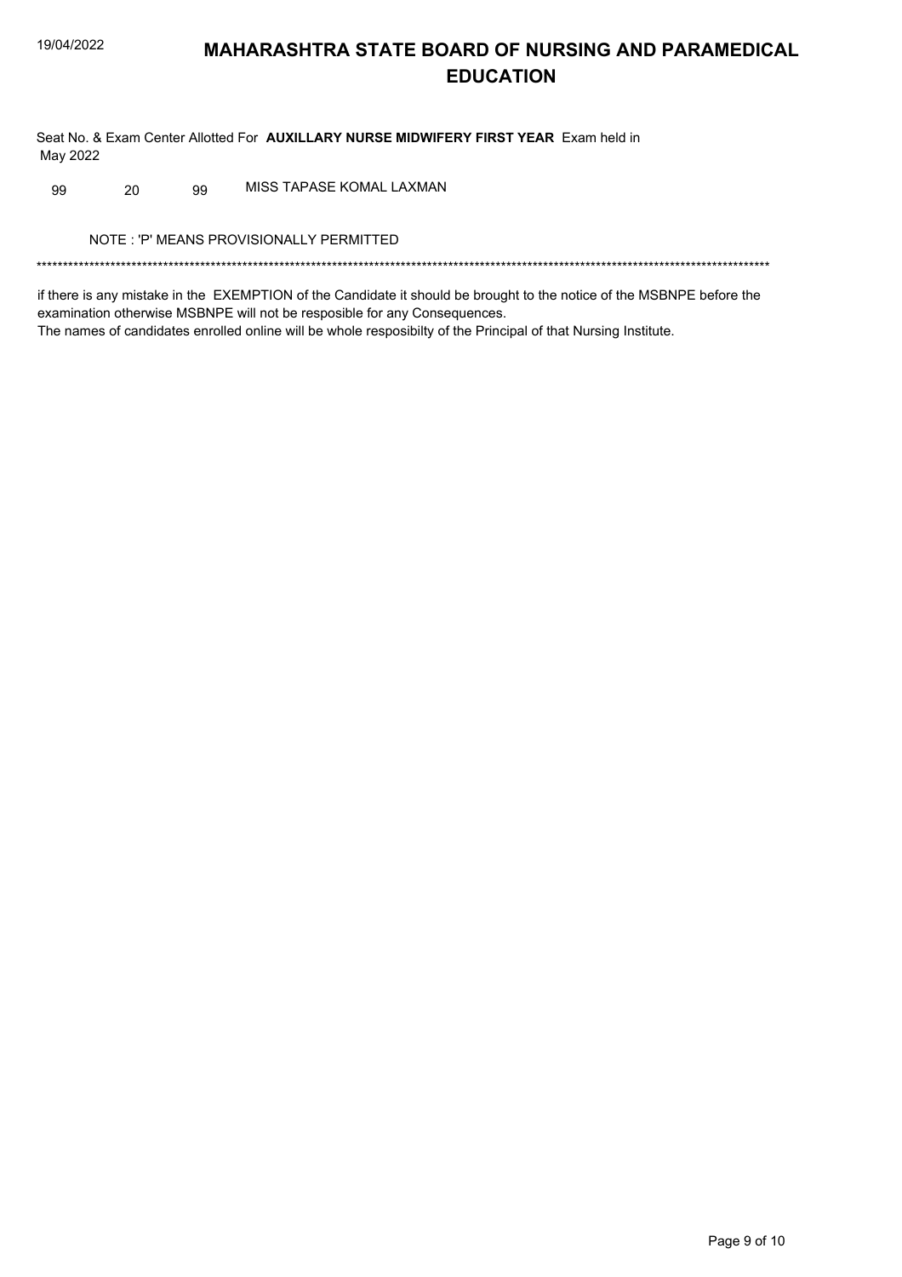## **MAHARASHTRA STATE BOARD OF NURSING AND PARAMEDICAL EDUCATION**

Seat No. & Exam Center Allotted For AUXILLARY NURSE MIDWIFERY FIRST YEAR Exam held in May 2022

MISS TAPASE KOMAL LAXMAN 99 20 99

NOTE: 'P' MEANS PROVISIONALLY PERMITTED

if there is any mistake in the EXEMPTION of the Candidate it should be brought to the notice of the MSBNPE before the examination otherwise MSBNPE will not be resposible for any Consequences. The names of candidates enrolled online will be whole resposibilty of the Principal of that Nursing Institute.